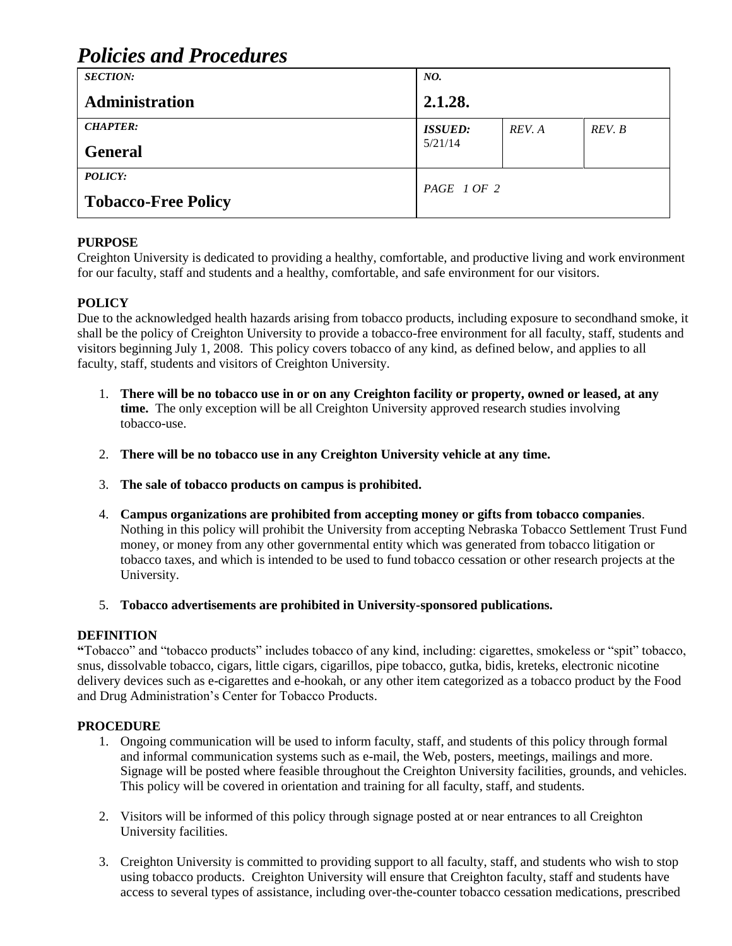# *Policies and Procedures*

| <b>SECTION:</b>            | NO.            |        |        |  |
|----------------------------|----------------|--------|--------|--|
| Administration             | 2.1.28.        |        |        |  |
| <b>CHAPTER:</b>            | <b>ISSUED:</b> | REV. A | REV. B |  |
| <b>General</b>             | 5/21/14        |        |        |  |
| <b>POLICY:</b>             | PAGE 1 OF 2    |        |        |  |
| <b>Tobacco-Free Policy</b> |                |        |        |  |

## **PURPOSE**

Creighton University is dedicated to providing a healthy, comfortable, and productive living and work environment for our faculty, staff and students and a healthy, comfortable, and safe environment for our visitors.

## **POLICY**

Due to the acknowledged health hazards arising from tobacco products, including exposure to secondhand smoke, it shall be the policy of Creighton University to provide a tobacco-free environment for all faculty, staff, students and visitors beginning July 1, 2008. This policy covers tobacco of any kind, as defined below, and applies to all faculty, staff, students and visitors of Creighton University.

- 1. **There will be no tobacco use in or on any Creighton facility or property, owned or leased, at any time.** The only exception will be all Creighton University approved research studies involving tobacco-use.
- 2. **There will be no tobacco use in any Creighton University vehicle at any time.**
- 3. **The sale of tobacco products on campus is prohibited.**
- 4. **Campus organizations are prohibited from accepting money or gifts from tobacco companies**. Nothing in this policy will prohibit the University from accepting Nebraska Tobacco Settlement Trust Fund money, or money from any other governmental entity which was generated from tobacco litigation or tobacco taxes, and which is intended to be used to fund tobacco cessation or other research projects at the University.
- 5. **Tobacco advertisements are prohibited in University-sponsored publications.**

#### **DEFINITION**

**"**Tobacco" and "tobacco products" includes tobacco of any kind, including: cigarettes, smokeless or "spit" tobacco, snus, dissolvable tobacco, cigars, little cigars, cigarillos, pipe tobacco, gutka, bidis, kreteks, electronic nicotine delivery devices such as e-cigarettes and e-hookah, or any other item categorized as a tobacco product by the Food and Drug Administration's Center for Tobacco Products.

#### **PROCEDURE**

- 1. Ongoing communication will be used to inform faculty, staff, and students of this policy through formal and informal communication systems such as e-mail, the Web, posters, meetings, mailings and more. Signage will be posted where feasible throughout the Creighton University facilities, grounds, and vehicles. This policy will be covered in orientation and training for all faculty, staff, and students.
- 2. Visitors will be informed of this policy through signage posted at or near entrances to all Creighton University facilities.
- 3. Creighton University is committed to providing support to all faculty, staff, and students who wish to stop using tobacco products. Creighton University will ensure that Creighton faculty, staff and students have access to several types of assistance, including over-the-counter tobacco cessation medications, prescribed